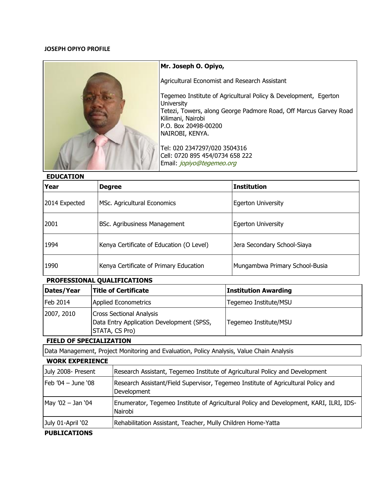## **JOSEPH OPIYO PROFILE**



## **Mr. Joseph O. Opiyo,**

Agricultural Economist and Research Assistant

Tegemeo Institute of Agricultural Policy & Development, Egerton **University** Tetezi, Towers, along George Padmore Road, Off Marcus Garvey Road Kilimani, Nairobi P.O. Box 20498-00200 NAIROBI, KENYA.

Tel: 020 2347297/020 3504316 Cell: 0720 895 454/0734 658 222 Email: [jopiyo@tegemeo.org](mailto:jopiyo@tegemeo.org)

#### **EDUCATION**

| Year          | <b>Degree</b>                            | <b>Institution</b>             |
|---------------|------------------------------------------|--------------------------------|
| 2014 Expected | MSc. Agricultural Economics              | <b>Egerton University</b>      |
| 2001          | BSc. Agribusiness Management             | <b>Egerton University</b>      |
| 1994          | Kenya Certificate of Education (O Level) | Jera Secondary School-Siaya    |
| 1990          | Kenya Certificate of Primary Education   | Mungambwa Primary School-Busia |

## **PROFESSIONAL QUALIFICATIONS**

| Dates/Year | Title of Certificate                                                                           | <b>Institution Awarding</b> |
|------------|------------------------------------------------------------------------------------------------|-----------------------------|
| Feb 2014   | <b>Applied Econometrics</b>                                                                    | Tegemeo Institute/MSU       |
| 2007, 2010 | <b>Cross Sectional Analysis</b><br>Data Entry Application Development (SPSS,<br>STATA, CS Pro) | Tegemeo Institute/MSU       |

# **FIELD OF SPECIALIZATION**

Data Management, Project Monitoring and Evaluation, Policy Analysis, Value Chain Analysis

#### **WORK EXPERIENCE**

| July 2008- Present   | Research Assistant, Tegemeo Institute of Agricultural Policy and Development                      |
|----------------------|---------------------------------------------------------------------------------------------------|
| $[Feb'04 - June'08]$ | Research Assistant/Field Supervisor, Tegemeo Institute of Agricultural Policy and<br>Development  |
| May '02 - Jan '04    | Enumerator, Tegemeo Institute of Agricultural Policy and Development, KARI, ILRI, IDS-<br>Nairobi |
| July 01-April '02    | Rehabilitation Assistant, Teacher, Mully Children Home-Yatta                                      |

## **PUBLICATIONS**